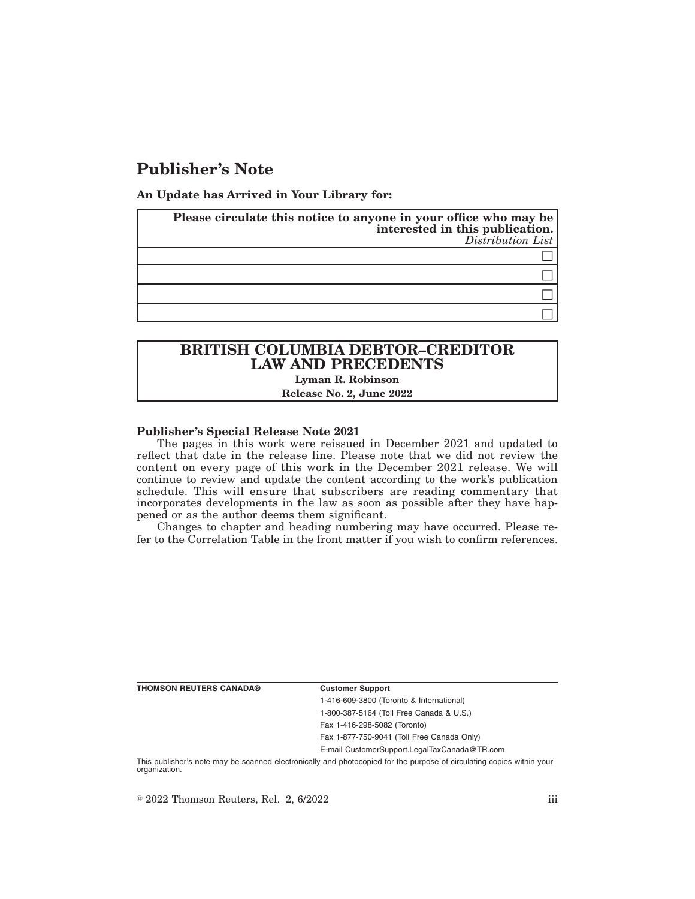# **Publisher's Note**

**An Update has Arrived in Your Library for:**

| Please circulate this notice to anyone in your office who may be<br>interested in this publication.<br>Distribution List |
|--------------------------------------------------------------------------------------------------------------------------|
|                                                                                                                          |
|                                                                                                                          |
|                                                                                                                          |
|                                                                                                                          |

## **BRITISH COLUMBIA DEBTOR–CREDITOR LAW AND PRECEDENTS Lyman R. Robinson**

### **Release No. 2, June 2022**

### **Publisher's Special Release Note 2021**

The pages in this work were reissued in December 2021 and updated to reflect that date in the release line. Please note that we did not review the content on every page of this work in the December 2021 release. We will continue to review and update the content according to the work's publication schedule. This will ensure that subscribers are reading commentary that incorporates developments in the law as soon as possible after they have happened or as the author deems them significant.

Changes to chapter and heading numbering may have occurred. Please refer to the Correlation Table in the front matter if you wish to confirm references.

**THOMSON REUTERS CANADA® Customer Support**

1-416-609-3800 (Toronto & International) 1-800-387-5164 (Toll Free Canada & U.S.)

Fax 1-416-298-5082 (Toronto) Fax 1-877-750-9041 (Toll Free Canada Only)

E-mail CustomerSupport.LegalTaxCanada@TR.com

This publisher's note may be scanned electronically and photocopied for the purpose of circulating copies within your organization.

 $\degree$  2022 Thomson Reuters, Rel. 2, 6/2022 iii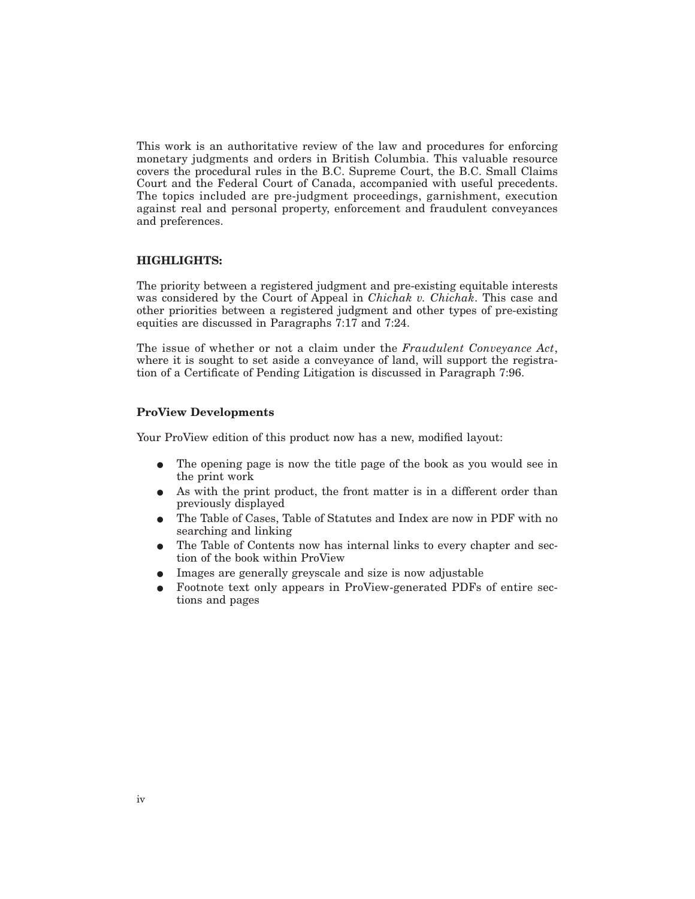This work is an authoritative review of the law and procedures for enforcing monetary judgments and orders in British Columbia. This valuable resource covers the procedural rules in the B.C. Supreme Court, the B.C. Small Claims Court and the Federal Court of Canada, accompanied with useful precedents. The topics included are pre-judgment proceedings, garnishment, execution against real and personal property, enforcement and fraudulent conveyances and preferences.

### **HIGHLIGHTS:**

The priority between a registered judgment and pre-existing equitable interests was considered by the Court of Appeal in *Chichak v. Chichak*. This case and other priorities between a registered judgment and other types of pre-existing equities are discussed in Paragraphs 7:17 and 7:24.

The issue of whether or not a claim under the *Fraudulent Conveyance Act*, where it is sought to set aside a conveyance of land, will support the registration of a Certificate of Pending Litigation is discussed in Paragraph 7:96.

### **ProView Developments**

Your ProView edition of this product now has a new, modified layout:

- E The opening page is now the title page of the book as you would see in the print work
- As with the print product, the front matter is in a different order than previously displayed
- E The Table of Cases, Table of Statutes and Index are now in PDF with no searching and linking
- The Table of Contents now has internal links to every chapter and section of the book within ProView
- $\bullet$  Images are generally greyscale and size is now adjustable
- E Footnote text only appears in ProView-generated PDFs of entire sections and pages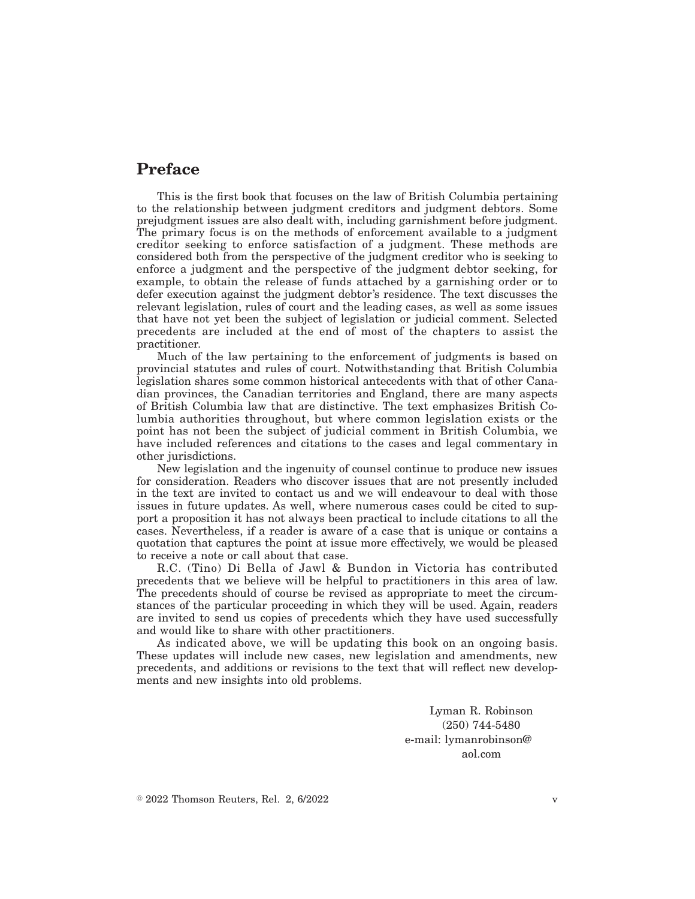# **Preface**

This is the first book that focuses on the law of British Columbia pertaining to the relationship between judgment creditors and judgment debtors. Some prejudgment issues are also dealt with, including garnishment before judgment. The primary focus is on the methods of enforcement available to a judgment creditor seeking to enforce satisfaction of a judgment. These methods are considered both from the perspective of the judgment creditor who is seeking to enforce a judgment and the perspective of the judgment debtor seeking, for example, to obtain the release of funds attached by a garnishing order or to defer execution against the judgment debtor's residence. The text discusses the relevant legislation, rules of court and the leading cases, as well as some issues that have not yet been the subject of legislation or judicial comment. Selected precedents are included at the end of most of the chapters to assist the practitioner.

Much of the law pertaining to the enforcement of judgments is based on provincial statutes and rules of court. Notwithstanding that British Columbia legislation shares some common historical antecedents with that of other Canadian provinces, the Canadian territories and England, there are many aspects of British Columbia law that are distinctive. The text emphasizes British Columbia authorities throughout, but where common legislation exists or the point has not been the subject of judicial comment in British Columbia, we have included references and citations to the cases and legal commentary in other jurisdictions.

New legislation and the ingenuity of counsel continue to produce new issues for consideration. Readers who discover issues that are not presently included in the text are invited to contact us and we will endeavour to deal with those issues in future updates. As well, where numerous cases could be cited to support a proposition it has not always been practical to include citations to all the cases. Nevertheless, if a reader is aware of a case that is unique or contains a quotation that captures the point at issue more effectively, we would be pleased to receive a note or call about that case.

R.C. (Tino) Di Bella of Jawl & Bundon in Victoria has contributed precedents that we believe will be helpful to practitioners in this area of law. The precedents should of course be revised as appropriate to meet the circumstances of the particular proceeding in which they will be used. Again, readers are invited to send us copies of precedents which they have used successfully and would like to share with other practitioners.

As indicated above, we will be updating this book on an ongoing basis. These updates will include new cases, new legislation and amendments, new precedents, and additions or revisions to the text that will reflect new developments and new insights into old problems.

> Lyman R. Robinson (250) 744-5480 e-mail: lymanrobinson@ aol.com